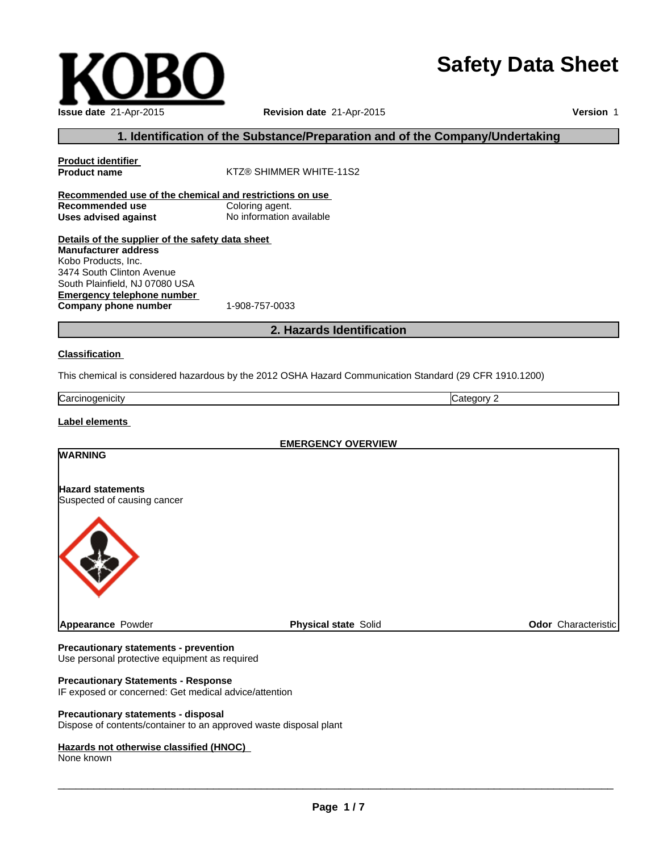# **Safety Data Sheet**

|  | w |  |
|--|---|--|
|  |   |  |
|  |   |  |
|  |   |  |
|  |   |  |
|  |   |  |
|  |   |  |
|  |   |  |
|  |   |  |
|  |   |  |
|  |   |  |
|  |   |  |
|  |   |  |
|  |   |  |

**Emergency telephone number Company phone number** 1-908-757-0033 **2. Hazards Identification Classification** This chemical is considered hazardous by the 2012 OSHA Hazard Communication Standard (29 CFR 1910.1200) Kobo Products, Inc. 3474 South Clinton Avenue South Plainfield, NJ 07080 USA

**Recommended use of the chemical and restrictions on use**

**Details of the supplier of the safety data sheet**

**Carcinogenicity** Category 2

**1. Identification of the Substance/Preparation and of the Company/Undertaking**

**Revision date** 21-Apr-2015

**KTZ® SHIMMER WHITE-11S2** 

**Uses advised against** No information available

## **Label elements**

**Product identifier**

**Recommended use<br>Uses advised against** 

**Manufacturer address**

| <b>EMERGENCY OVERVIEW</b> |  |  |
|---------------------------|--|--|
|                           |  |  |
|                           |  |  |
|                           |  |  |
| Odor Characteristic       |  |  |
|                           |  |  |

# **Precautionary statements - prevention**

Use personal protective equipment as required

# **Precautionary Statements - Response**

IF exposed or concerned: Get medical advice/attention

### **Precautionary statements - disposal**

Dispose of contents/container to an approved waste disposal plant

#### **Hazards not otherwise classified (HNOC)**

None known

 $\_$  , and the set of the set of the set of the set of the set of the set of the set of the set of the set of the set of the set of the set of the set of the set of the set of the set of the set of the set of the set of th



**Version** 1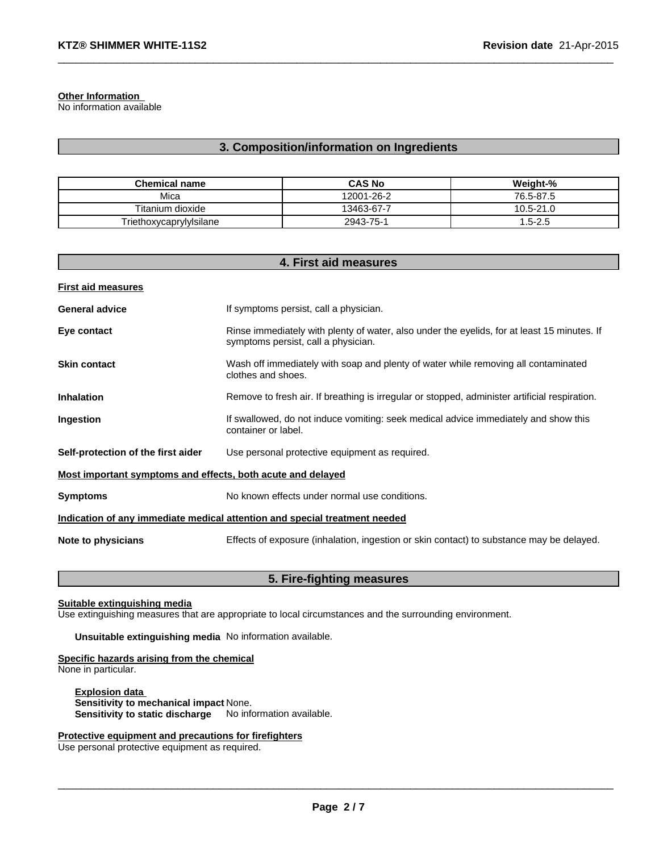**Other Information**

No information available

# **3. Composition/information on Ingredients**

 $\_$  , and the set of the set of the set of the set of the set of the set of the set of the set of the set of the set of the set of the set of the set of the set of the set of the set of the set of the set of the set of th

| <b>Chemical name</b>    | <b>CAS No</b> | Weiaht-%      |
|-------------------------|---------------|---------------|
| Mica                    | 12001-26-2    | 76.5-87.5     |
| Titanium dioxide        | 13463-67-7    | $10.5 - 21.0$ |
| Triethoxycaprylylsilane | 2943-75-1     | $1.5 - 2.5$   |

| 4. First aid measures                                                      |                                                                                                                                    |  |
|----------------------------------------------------------------------------|------------------------------------------------------------------------------------------------------------------------------------|--|
| <b>First aid measures</b>                                                  |                                                                                                                                    |  |
| <b>General advice</b>                                                      | If symptoms persist, call a physician.                                                                                             |  |
| Eye contact                                                                | Rinse immediately with plenty of water, also under the eyelids, for at least 15 minutes. If<br>symptoms persist, call a physician. |  |
| <b>Skin contact</b>                                                        | Wash off immediately with soap and plenty of water while removing all contaminated<br>clothes and shoes.                           |  |
| <b>Inhalation</b>                                                          | Remove to fresh air. If breathing is irregular or stopped, administer artificial respiration.                                      |  |
| Ingestion                                                                  | If swallowed, do not induce vomiting: seek medical advice immediately and show this<br>container or label.                         |  |
| Self-protection of the first aider                                         | Use personal protective equipment as required.                                                                                     |  |
| Most important symptoms and effects, both acute and delayed                |                                                                                                                                    |  |
| <b>Symptoms</b>                                                            | No known effects under normal use conditions.                                                                                      |  |
| Indication of any immediate medical attention and special treatment needed |                                                                                                                                    |  |
| Note to physicians                                                         | Effects of exposure (inhalation, ingestion or skin contact) to substance may be delayed.                                           |  |

# **5. Fire-fighting measures**

### **Suitable extinguishing media**

Use extinguishing measures that are appropriate to local circumstances and the surrounding environment.

**Unsuitable extinguishing media** No information available.

### **Specific hazards arising from the chemical**

None in particular.

**Explosion data Sensitivity to mechanical impact** None. **Sensitivity to static discharge** No information available.

### **Protective equipment and precautions for firefighters**

Use personal protective equipment as required.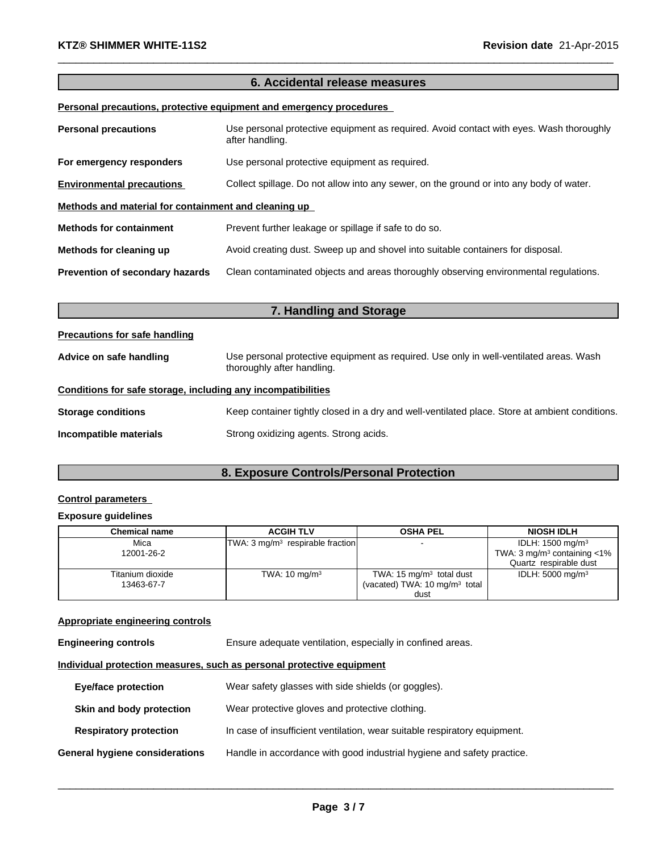# **6. Accidental release measures**

 $\_$  , and the set of the set of the set of the set of the set of the set of the set of the set of the set of the set of the set of the set of the set of the set of the set of the set of the set of the set of the set of th

### **Personal precautions, protective equipment and emergency procedures**

| <b>Personal precautions</b>                          | Use personal protective equipment as required. Avoid contact with eyes. Wash thoroughly<br>after handling. |  |
|------------------------------------------------------|------------------------------------------------------------------------------------------------------------|--|
| For emergency responders                             | Use personal protective equipment as required.                                                             |  |
| <b>Environmental precautions</b>                     | Collect spillage. Do not allow into any sewer, on the ground or into any body of water.                    |  |
| Methods and material for containment and cleaning up |                                                                                                            |  |
| <b>Methods for containment</b>                       | Prevent further leakage or spillage if safe to do so.                                                      |  |
| Methods for cleaning up                              | Avoid creating dust. Sweep up and shovel into suitable containers for disposal.                            |  |
| <b>Prevention of secondary hazards</b>               | Clean contaminated objects and areas thoroughly observing environmental regulations.                       |  |

| 7. Handling and Storage                                      |                                                                                                                      |  |  |
|--------------------------------------------------------------|----------------------------------------------------------------------------------------------------------------------|--|--|
| <b>Precautions for safe handling</b>                         |                                                                                                                      |  |  |
| Advice on safe handling                                      | Use personal protective equipment as required. Use only in well-ventilated areas. Wash<br>thoroughly after handling. |  |  |
| Conditions for safe storage, including any incompatibilities |                                                                                                                      |  |  |
| <b>Storage conditions</b>                                    | Keep container tightly closed in a dry and well-ventilated place. Store at ambient conditions.                       |  |  |
| Incompatible materials                                       | Strong oxidizing agents. Strong acids.                                                                               |  |  |

# **8. Exposure Controls/Personal Protection**

### **Control parameters**

## **Exposure guidelines**

| <b>Chemical name</b> | <b>ACGIH TLV</b>                             | <b>OSHA PEL</b>                           | <b>NIOSH IDLH</b>                            |
|----------------------|----------------------------------------------|-------------------------------------------|----------------------------------------------|
| Mica                 | TWA: 3 mg/m <sup>3</sup> respirable fraction | $\overline{\phantom{a}}$                  | IDLH: 1500 mg/m <sup>3</sup>                 |
| 12001-26-2           |                                              |                                           | TWA: $3 \text{ mq/m}^3$ containing $\lt 1\%$ |
|                      |                                              |                                           | Quartz respirable dust                       |
| Titanium dioxide     | TWA: $10 \text{ mg/m}^3$                     | TWA: 15 $mg/m3$ total dust                | IDLH: $5000 \text{ mg/m}^3$                  |
| 13463-67-7           |                                              | (vacated) TWA: 10 mg/m <sup>3</sup> total |                                              |
|                      |                                              | dust                                      |                                              |

# **Appropriate engineering controls**

**Engineering controls** Ensure adequate ventilation, especially in confined areas.

## **Individual protection measures, such as personal protective equipment**

| <b>Eye/face protection</b>     | Wear safety glasses with side shields (or goggles).                       |  |
|--------------------------------|---------------------------------------------------------------------------|--|
| Skin and body protection       | Wear protective gloves and protective clothing.                           |  |
| <b>Respiratory protection</b>  | In case of insufficient ventilation, wear suitable respiratory equipment. |  |
| General hygiene considerations | Handle in accordance with good industrial hygiene and safety practice.    |  |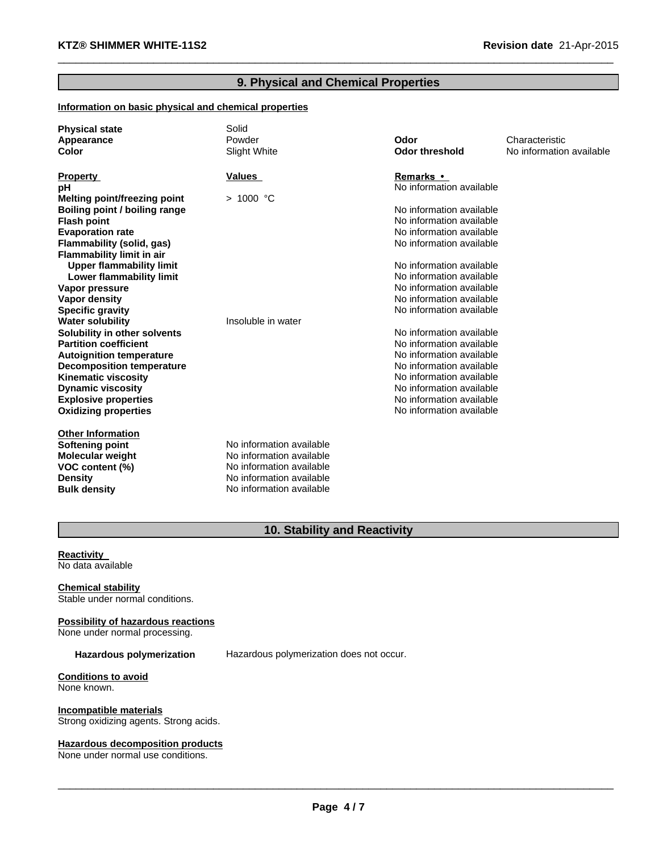# **9. Physical and Chemical Properties**

 $\_$  , and the set of the set of the set of the set of the set of the set of the set of the set of the set of the set of the set of the set of the set of the set of the set of the set of the set of the set of the set of th

### **Information on basic physical and chemical properties**

| <b>Physical state</b><br>Appearance<br><b>Color</b> | Solid<br>Powder<br>Slight White | Odor<br><b>Odor threshold</b> | Characteristic<br>No information available |
|-----------------------------------------------------|---------------------------------|-------------------------------|--------------------------------------------|
| <b>Property</b>                                     | Values                          | <b>Remarks</b> •              |                                            |
| рH                                                  |                                 | No information available      |                                            |
| Melting point/freezing point                        | > 1000 °C                       |                               |                                            |
| Boiling point / boiling range                       |                                 | No information available      |                                            |
| <b>Flash point</b>                                  |                                 | No information available      |                                            |
| <b>Evaporation rate</b>                             |                                 | No information available      |                                            |
| Flammability (solid, gas)                           |                                 | No information available      |                                            |
| <b>Flammability limit in air</b>                    |                                 |                               |                                            |
| <b>Upper flammability limit</b>                     |                                 | No information available      |                                            |
| Lower flammability limit                            |                                 | No information available      |                                            |
| Vapor pressure                                      |                                 | No information available      |                                            |
| <b>Vapor density</b>                                |                                 | No information available      |                                            |
| <b>Specific gravity</b>                             |                                 | No information available      |                                            |
| <b>Water solubility</b>                             | Insoluble in water              |                               |                                            |
| Solubility in other solvents                        |                                 | No information available      |                                            |
| <b>Partition coefficient</b>                        |                                 | No information available      |                                            |
| <b>Autoignition temperature</b>                     |                                 | No information available      |                                            |
| <b>Decomposition temperature</b>                    |                                 | No information available      |                                            |
| <b>Kinematic viscosity</b>                          |                                 | No information available      |                                            |
| <b>Dynamic viscosity</b>                            |                                 | No information available      |                                            |
| <b>Explosive properties</b>                         |                                 | No information available      |                                            |
| <b>Oxidizing properties</b>                         |                                 | No information available      |                                            |
| <b>Other Information</b>                            |                                 |                               |                                            |
| Softening point                                     | No information available        |                               |                                            |
| <b>Molecular weight</b>                             | No information available        |                               |                                            |
| VOC content (%)                                     | No information available        |                               |                                            |
| <b>Density</b>                                      | No information available        |                               |                                            |
| <b>Bulk density</b>                                 | No information available        |                               |                                            |

# **10. Stability and Reactivity**

#### **Reactivity** No data available

#### **Chemical stability** Stable under normal conditions.

**Possibility of hazardous reactions** None under normal processing.

**Hazardous polymerization** Hazardous polymerization does not occur.

**Conditions to avoid** None known.

**Incompatible materials** Strong oxidizing agents. Strong acids.

# **Hazardous decomposition products**

None under normal use conditions.

 $\_$  ,  $\_$  ,  $\_$  ,  $\_$  ,  $\_$  ,  $\_$  ,  $\_$  ,  $\_$  ,  $\_$  ,  $\_$  ,  $\_$  ,  $\_$  ,  $\_$  ,  $\_$  ,  $\_$  ,  $\_$  ,  $\_$  ,  $\_$  ,  $\_$  ,  $\_$  ,  $\_$  ,  $\_$  ,  $\_$  ,  $\_$  ,  $\_$  ,  $\_$  ,  $\_$  ,  $\_$  ,  $\_$  ,  $\_$  ,  $\_$  ,  $\_$  ,  $\_$  ,  $\_$  ,  $\_$  ,  $\_$  ,  $\_$  ,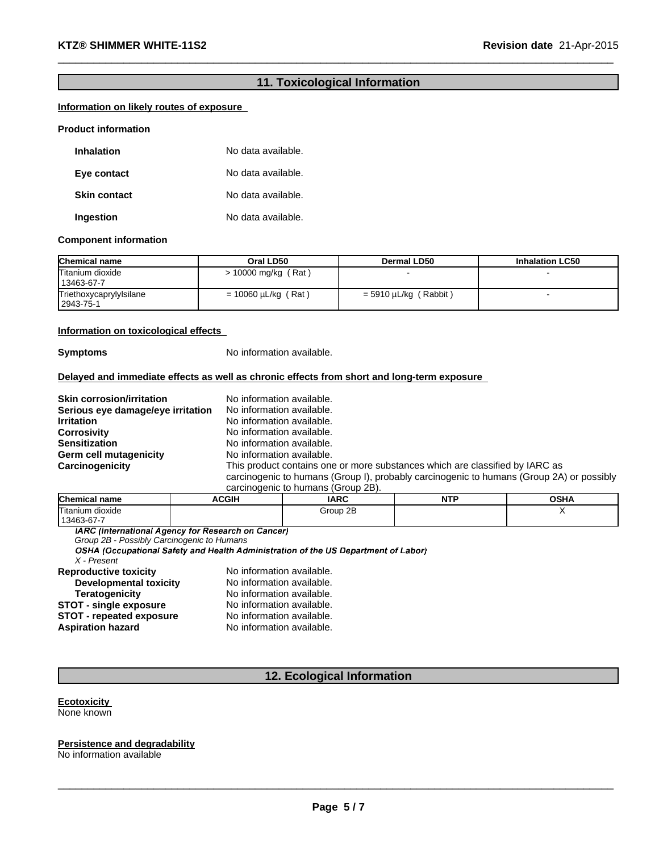# **11. Toxicological Information**

 $\_$  , and the set of the set of the set of the set of the set of the set of the set of the set of the set of the set of the set of the set of the set of the set of the set of the set of the set of the set of the set of th

### **Information on likely routes of exposure**

#### **Product information**

| <b>Inhalation</b>   | No data available. |
|---------------------|--------------------|
| Eye contact         | No data available. |
| <b>Skin contact</b> | No data available. |
| Ingestion           | No data available. |

#### **Component information**

| <b>Chemical name</b>                 | Oral LD50                | Dermal LD50             | <b>Inhalation LC50</b> |
|--------------------------------------|--------------------------|-------------------------|------------------------|
| Titanium dioxide<br>13463-67-7       | $> 10000$ mg/kg (Rat)    |                         |                        |
| Triethoxycaprylylsilane<br>2943-75-1 | $= 10060 \mu L/kg$ (Rat) | $=$ 5910 µL/kg (Rabbit) |                        |

### **Information on toxicological effects**

**Symptoms** No information available.

### **Delayed and immediate effects as well as chronic effects from short and long-term exposure**

| <b>Skin corrosion/irritation</b>  | No information available.                                                                |
|-----------------------------------|------------------------------------------------------------------------------------------|
| Serious eye damage/eye irritation | No information available.                                                                |
| <b>Irritation</b>                 | No information available.                                                                |
| <b>Corrosivity</b>                | No information available.                                                                |
| <b>Sensitization</b>              | No information available.                                                                |
| Germ cell mutagenicity            | No information available.                                                                |
| Carcinogenicity                   | This product contains one or more substances which are classified by IARC as             |
|                                   | carcinogenic to humans (Group I), probably carcinogenic to humans (Group 2A) or possibly |
|                                   | carcinogenic to humans (Group 2B).                                                       |

| <b>Chemical name</b> | ACGIH | <b>IARC</b> | NTP | OSHA |
|----------------------|-------|-------------|-----|------|
| Titanium dioxide     |       | Group 2B    |     |      |
| 13463-67-7           |       |             |     |      |

**IARC** (International Agency for Research on Cancer)

*X - Present* **Reproductive toxicity No information available.**<br>**Developmental toxicity No information available. Developmental toxicity<br>Teratogenicity** No information available. **STOT** - **single exposure** No information available. **STOT - repeated exposure** No information available.<br> **Aspiration hazard** No information available. **Aspiration hazard** No information available. *Group 2B - Possibly Carcinogenic to Humans*

# **12. Ecological Information**

#### **Ecotoxicity** None known

**Persistence and degradability** No information available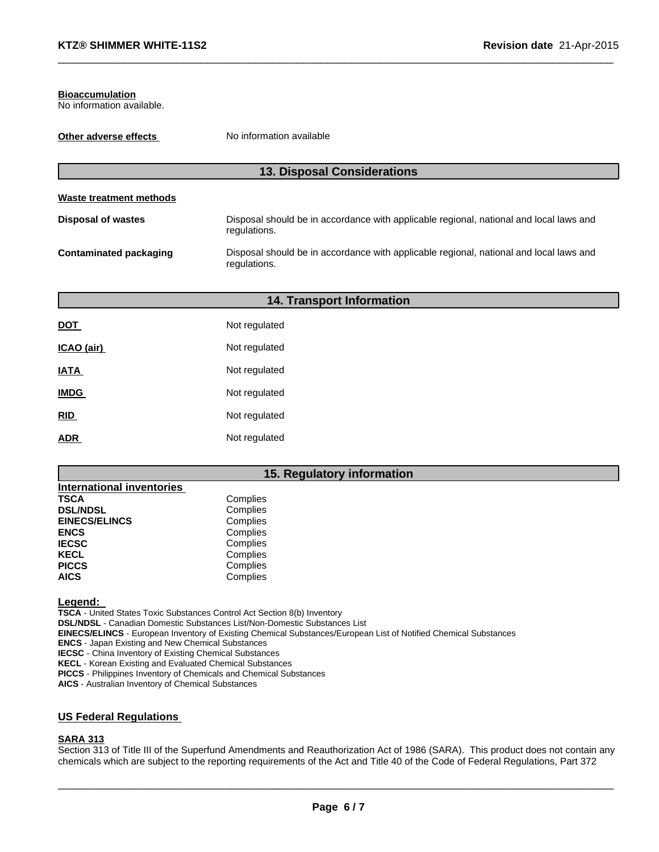#### **Bioaccumulation**

No information available.

| Other adverse effects         | No information available                                                                               |  |
|-------------------------------|--------------------------------------------------------------------------------------------------------|--|
|                               | <b>13. Disposal Considerations</b>                                                                     |  |
| Waste treatment methods       |                                                                                                        |  |
| <b>Disposal of wastes</b>     | Disposal should be in accordance with applicable regional, national and local laws and<br>regulations. |  |
| <b>Contaminated packaging</b> | Disposal should be in accordance with applicable regional, national and local laws and<br>regulations. |  |

 $\_$  , and the set of the set of the set of the set of the set of the set of the set of the set of the set of the set of the set of the set of the set of the set of the set of the set of the set of the set of the set of th

| <b>14. Transport Information</b> |               |  |  |
|----------------------------------|---------------|--|--|
| DOT                              | Not regulated |  |  |
| ICAO (air)                       | Not regulated |  |  |
| <b>IATA</b>                      | Not regulated |  |  |
| <b>IMDG</b>                      | Not regulated |  |  |
| RID                              | Not regulated |  |  |
| <b>ADR</b>                       | Not regulated |  |  |

# **15. Regulatory information**

| <b>International inventories</b> |          |
|----------------------------------|----------|
| <b>TSCA</b>                      | Complies |
| <b>DSL/NDSL</b>                  | Complies |
| <b>EINECS/ELINCS</b>             | Complies |
| <b>ENCS</b>                      | Complies |
| <b>IECSC</b>                     | Complies |
| <b>KECL</b>                      | Complies |
| <b>PICCS</b>                     | Complies |
| <b>AICS</b>                      | Complies |

**Legend:**

**TSCA** - United States Toxic Substances Control Act Section 8(b) Inventory

**DSL/NDSL** - Canadian Domestic Substances List/Non-Domestic Substances List

**EINECS/ELINCS** - European Inventory of Existing Chemical Substances/European List of Notified Chemical Substances

**ENCS** - Japan Existing and New Chemical Substances

**IECSC** - China Inventory of Existing Chemical Substances

**KECL** - Korean Existing and Evaluated Chemical Substances

**PICCS** - Philippines Inventory of Chemicals and Chemical Substances

**AICS** - Australian Inventory of Chemical Substances

# **US Federal Regulations**

# **SARA 313**

Section 313 of Title III of the Superfund Amendments and Reauthorization Act of 1986 (SARA). This product does not contain any chemicals which are subject to the reporting requirements of the Act and Title 40 of the Code of Federal Regulations, Part 372